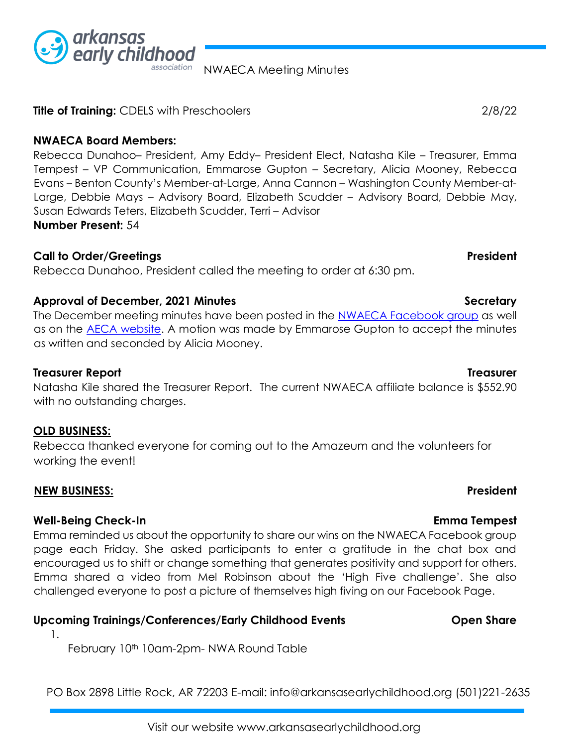

**Title of Training:** CDELS with Preschoolers2/8/22

### **NWAECA Board Members:**

Rebecca Dunahoo– President, Amy Eddy– President Elect, Natasha Kile – Treasurer, Emma Tempest – VP Communication, Emmarose Gupton – Secretary, Alicia Mooney, Rebecca Evans – Benton County's Member-at-Large, Anna Cannon – Washington County Member-at-Large, Debbie Mays – Advisory Board, Elizabeth Scudder – Advisory Board, Debbie May, Susan Edwards Teters, Elizabeth Scudder, Terri – Advisor **Number Present:** 54

### **Call to Order/Greetings President**

Rebecca Dunahoo, President called the meeting to order at 6:30 pm.

# Approval of December, 2021 Minutes **Secretary Secretary Secretary Secretary**

The December meeting minutes have been posted in the [NWAECA Facebook group](https://www.facebook.com/groups/nwaeca) [a](https://www.facebook.com/groups/nwaeca)s well as on the **AECA website**. A motion was made by Emmarose Gupton to accept the minutes as written and seconded by Alicia Mooney.

## **Treasurer Report Treasurer**

Natasha Kile shared the Treasurer Report. The current NWAECA affiliate balance is \$552.90 with no outstanding charges.

## **OLD BUSINESS:**

Rebecca thanked everyone for coming out to the Amazeum and the volunteers for working the event!

## **NEW BUSINESS:** President

1.

# **Well-Being Check-In Emma Tempest**

Emma reminded us about the opportunity to share our wins on the NWAECA Facebook group page each Friday. She asked participants to enter a gratitude in the chat box and encouraged us to shift or change something that generates positivity and support for others. Emma shared a video from Mel Robinson about the 'High Five challenge'. She also challenged everyone to post a picture of themselves high fiving on our Facebook Page.

# Upcoming Trainings/Conferences/Early Childhood Events **Open Share**

February 10<sup>th</sup> 10am-2pm- NWA Round Table

PO Box 2898 Little Rock, AR 72203 E-mail: info@arkansasearlychildhood.org (501)221-2635



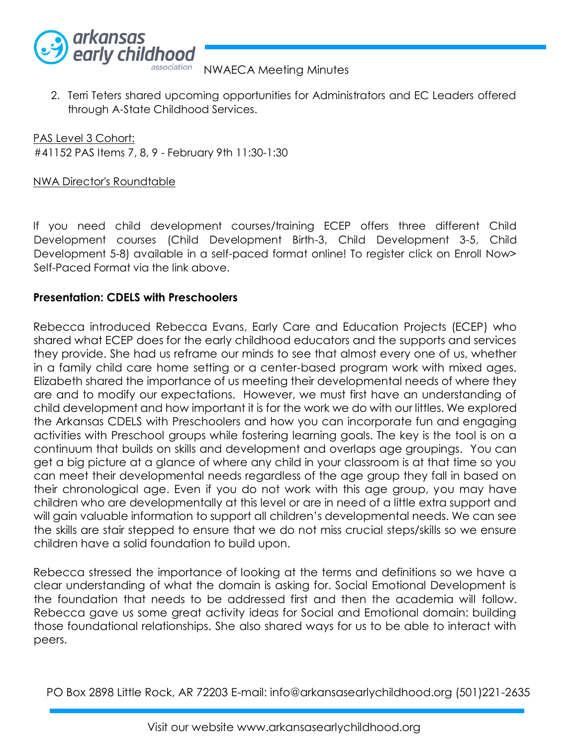

2. Terri Teters shared upcoming opportunities for Administrators and EC Leaders offered through A-State Childhood Services.

PAS Level 3 Cohort: #41152 PAS Items 7, 8, 9 - February 9th 11:30-1:30

### NWA Director's Roundtable

If you need child development courses/training ECEP offers three different Child Development courses (Child Development Birth-3, Child Development 3-5, Child Development 5-8) available in a self-paced format online! To register click on Enroll Now> Self-Paced Format via the link above.

### **Presentation: CDELS with Preschoolers**

Rebecca introduced Rebecca Evans, Early Care and Education Projects (ECEP) who shared what ECEP does for the early childhood educators and the supports and services they provide. She had us reframe our minds to see that almost every one of us, whether in a family child care home setting or a center-based program work with mixed ages. Elizabeth shared the importance of us meeting their developmental needs of where they are and to modify our expectations. However, we must first have an understanding of child development and how important it is for the work we do with our littles. We explored the Arkansas CDELS with Preschoolers and how you can incorporate fun and engaging activities with Preschool groups while fostering learning goals. The key is the tool is on a continuum that builds on skills and development and overlaps age groupings. You can get a big picture at a glance of where any child in your classroom is at that time so you can meet their developmental needs regardless of the age group they fall in based on their chronological age. Even if you do not work with this age group, you may have children who are developmentally at this level or are in need of a little extra support and will gain valuable information to support all children's developmental needs. We can see the skills are stair stepped to ensure that we do not miss crucial steps/skills so we ensure children have a solid foundation to build upon.

Rebecca stressed the importance of looking at the terms and definitions so we have a clear understanding of what the domain is asking for. Social Emotional Development is the foundation that needs to be addressed first and then the academia will follow. Rebecca gave us some great activity ideas for Social and Emotional domain: building those foundational relationships. She also shared ways for us to be able to interact with peers.

PO Box 2898 Little Rock, AR 72203 E-mail: info@arkansasearlychildhood.org (501)221-2635